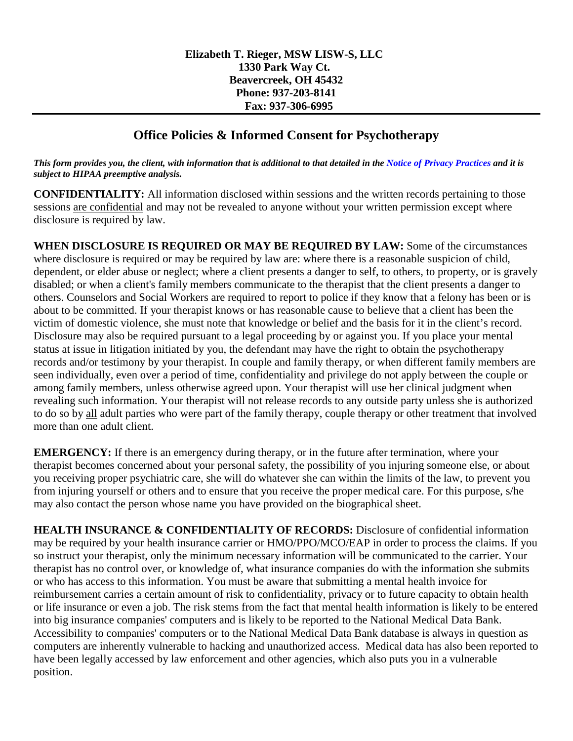## **Office Policies & Informed Consent for Psychotherapy**

*This form provides you, the client, with information that is additional to that detailed in the Notice of Privacy Practices and it is subject to HIPAA preemptive analysis.*

**CONFIDENTIALITY:** All information disclosed within sessions and the written records pertaining to those sessions are confidential and may not be revealed to anyone without your written permission except where disclosure is required by law.

**WHEN DISCLOSURE IS REQUIRED OR MAY BE REQUIRED BY LAW:** Some of the circumstances where disclosure is required or may be required by law are: where there is a reasonable suspicion of child, dependent, or elder abuse or neglect; where a client presents a danger to self, to others, to property, or is gravely disabled; or when a client's family members communicate to the therapist that the client presents a danger to others. Counselors and Social Workers are required to report to police if they know that a felony has been or is about to be committed. If your therapist knows or has reasonable cause to believe that a client has been the victim of domestic violence, she must note that knowledge or belief and the basis for it in the client's record. Disclosure may also be required pursuant to a legal proceeding by or against you. If you place your mental status at issue in litigation initiated by you, the defendant may have the right to obtain the psychotherapy records and/or testimony by your therapist. In couple and family therapy, or when different family members are seen individually, even over a period of time, confidentiality and privilege do not apply between the couple or among family members, unless otherwise agreed upon. Your therapist will use her clinical judgment when revealing such information. Your therapist will not release records to any outside party unless she is authorized to do so by all adult parties who were part of the family therapy, couple therapy or other treatment that involved more than one adult client.

**EMERGENCY:** If there is an emergency during therapy, or in the future after termination, where your therapist becomes concerned about your personal safety, the possibility of you injuring someone else, or about you receiving proper psychiatric care, she will do whatever she can within the limits of the law, to prevent you from injuring yourself or others and to ensure that you receive the proper medical care. For this purpose, s/he may also contact the person whose name you have provided on the biographical sheet.

**HEALTH INSURANCE & CONFIDENTIALITY OF RECORDS:** Disclosure of confidential information may be required by your health insurance carrier or HMO/PPO/MCO/EAP in order to process the claims. If you so instruct your therapist, only the minimum necessary information will be communicated to the carrier. Your therapist has no control over, or knowledge of, what insurance companies do with the information she submits or who has access to this information. You must be aware that submitting a mental health invoice for reimbursement carries a certain amount of risk to confidentiality, privacy or to future capacity to obtain health or life insurance or even a job. The risk stems from the fact that mental health information is likely to be entered into big insurance companies' computers and is likely to be reported to the National Medical Data Bank. Accessibility to companies' computers or to the National Medical Data Bank database is always in question as computers are inherently vulnerable to hacking and unauthorized access. Medical data has also been reported to have been legally accessed by law enforcement and other agencies, which also puts you in a vulnerable position.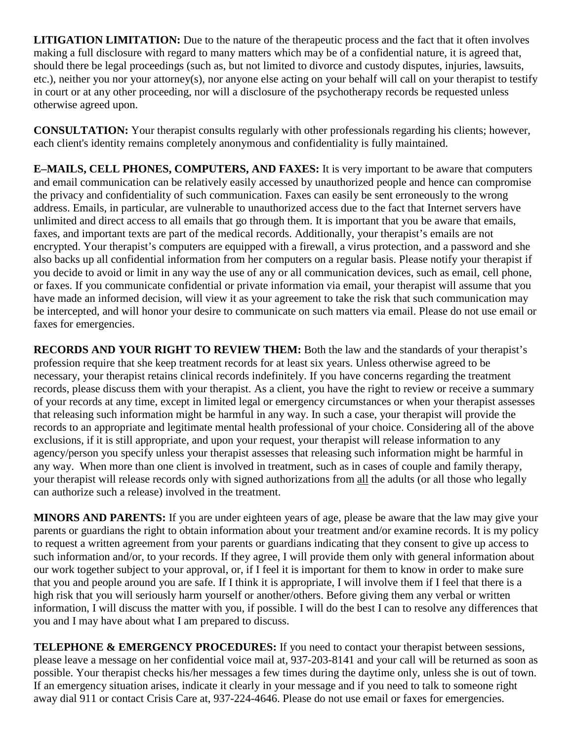**LITIGATION LIMITATION:** Due to the nature of the therapeutic process and the fact that it often involves making a full disclosure with regard to many matters which may be of a confidential nature, it is agreed that, should there be legal proceedings (such as, but not limited to divorce and custody disputes, injuries, lawsuits, etc.), neither you nor your attorney(s), nor anyone else acting on your behalf will call on your therapist to testify in court or at any other proceeding, nor will a disclosure of the psychotherapy records be requested unless otherwise agreed upon.

**CONSULTATION:** Your therapist consults regularly with other professionals regarding his clients; however, each client's identity remains completely anonymous and confidentiality is fully maintained.

**E–MAILS, CELL PHONES, COMPUTERS, AND FAXES:** It is very important to be aware that computers and email communication can be relatively easily accessed by unauthorized people and hence can compromise the privacy and confidentiality of such communication. Faxes can easily be sent erroneously to the wrong address. Emails, in particular, are vulnerable to unauthorized access due to the fact that Internet servers have unlimited and direct access to all emails that go through them. It is important that you be aware that emails, faxes, and important texts are part of the medical records. Additionally, your therapist's emails are not encrypted. Your therapist's computers are equipped with a firewall, a virus protection, and a password and she also backs up all confidential information from her computers on a regular basis. Please notify your therapist if you decide to avoid or limit in any way the use of any or all communication devices, such as email, cell phone, or faxes. If you communicate confidential or private information via email, your therapist will assume that you have made an informed decision, will view it as your agreement to take the risk that such communication may be intercepted, and will honor your desire to communicate on such matters via email. Please do not use email or faxes for emergencies.

**RECORDS AND YOUR RIGHT TO REVIEW THEM:** Both the law and the standards of your therapist's profession require that she keep treatment records for at least six years. Unless otherwise agreed to be necessary, your therapist retains clinical records indefinitely. If you have concerns regarding the treatment records, please discuss them with your therapist. As a client, you have the right to review or receive a summary of your records at any time, except in limited legal or emergency circumstances or when your therapist assesses that releasing such information might be harmful in any way. In such a case, your therapist will provide the records to an appropriate and legitimate mental health professional of your choice. Considering all of the above exclusions, if it is still appropriate, and upon your request, your therapist will release information to any agency/person you specify unless your therapist assesses that releasing such information might be harmful in any way. When more than one client is involved in treatment, such as in cases of couple and family therapy, your therapist will release records only with signed authorizations from all the adults (or all those who legally can authorize such a release) involved in the treatment.

**MINORS AND PARENTS:** If you are under eighteen years of age, please be aware that the law may give your parents or guardians the right to obtain information about your treatment and/or examine records. It is my policy to request a written agreement from your parents or guardians indicating that they consent to give up access to such information and/or, to your records. If they agree, I will provide them only with general information about our work together subject to your approval, or, if I feel it is important for them to know in order to make sure that you and people around you are safe. If I think it is appropriate, I will involve them if I feel that there is a high risk that you will seriously harm yourself or another/others. Before giving them any verbal or written information, I will discuss the matter with you, if possible. I will do the best I can to resolve any differences that you and I may have about what I am prepared to discuss.

**TELEPHONE & EMERGENCY PROCEDURES:** If you need to contact your therapist between sessions, please leave a message on her confidential voice mail at, 937-203-8141 and your call will be returned as soon as possible. Your therapist checks his/her messages a few times during the daytime only, unless she is out of town. If an emergency situation arises, indicate it clearly in your message and if you need to talk to someone right away dial 911 or contact Crisis Care at, 937-224-4646. Please do not use email or faxes for emergencies.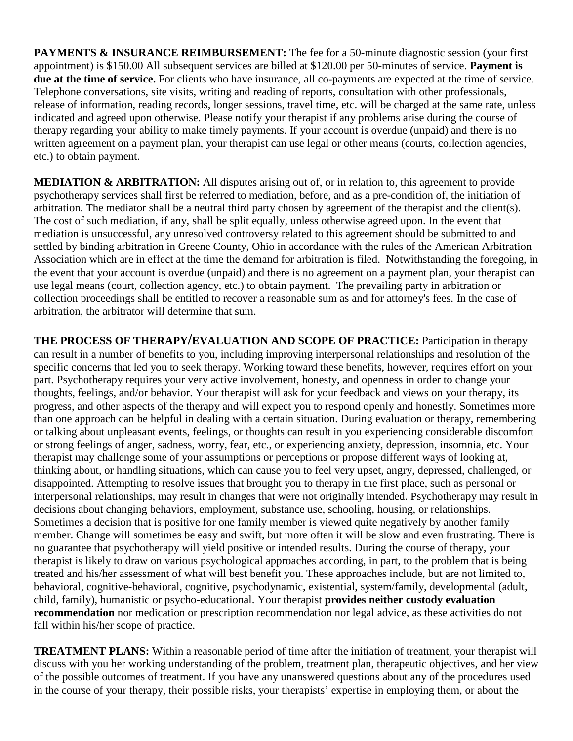**PAYMENTS & INSURANCE REIMBURSEMENT:** The fee for a 50-minute diagnostic session (your first appointment) is \$150.00 All subsequent services are billed at \$120.00 per 50-minutes of service. **Payment is due at the time of service.** For clients who have insurance, all co-payments are expected at the time of service. Telephone conversations, site visits, writing and reading of reports, consultation with other professionals, release of information, reading records, longer sessions, travel time, etc. will be charged at the same rate, unless indicated and agreed upon otherwise. Please notify your therapist if any problems arise during the course of therapy regarding your ability to make timely payments. If your account is overdue (unpaid) and there is no written agreement on a payment plan, your therapist can use legal or other means (courts, collection agencies, etc.) to obtain payment.

**MEDIATION & ARBITRATION:** All disputes arising out of, or in relation to, this agreement to provide psychotherapy services shall first be referred to mediation, before, and as a pre-condition of, the initiation of arbitration. The mediator shall be a neutral third party chosen by agreement of the therapist and the client(s). The cost of such mediation, if any, shall be split equally, unless otherwise agreed upon. In the event that mediation is unsuccessful, any unresolved controversy related to this agreement should be submitted to and settled by binding arbitration in Greene County, Ohio in accordance with the rules of the American Arbitration Association which are in effect at the time the demand for arbitration is filed. Notwithstanding the foregoing, in the event that your account is overdue (unpaid) and there is no agreement on a payment plan, your therapist can use legal means (court, collection agency, etc.) to obtain payment. The prevailing party in arbitration or collection proceedings shall be entitled to recover a reasonable sum as and for attorney's fees. In the case of arbitration, the arbitrator will determine that sum.

**THE PROCESS OF THERAPY/EVALUATION AND SCOPE OF PRACTICE:** Participation in therapy can result in a number of benefits to you, including improving interpersonal relationships and resolution of the specific concerns that led you to seek therapy. Working toward these benefits, however, requires effort on your part. Psychotherapy requires your very active involvement, honesty, and openness in order to change your thoughts, feelings, and/or behavior. Your therapist will ask for your feedback and views on your therapy, its progress, and other aspects of the therapy and will expect you to respond openly and honestly. Sometimes more than one approach can be helpful in dealing with a certain situation. During evaluation or therapy, remembering or talking about unpleasant events, feelings, or thoughts can result in you experiencing considerable discomfort or strong feelings of anger, sadness, worry, fear, etc., or experiencing anxiety, depression, insomnia, etc. Your therapist may challenge some of your assumptions or perceptions or propose different ways of looking at, thinking about, or handling situations, which can cause you to feel very upset, angry, depressed, challenged, or disappointed. Attempting to resolve issues that brought you to therapy in the first place, such as personal or interpersonal relationships, may result in changes that were not originally intended. Psychotherapy may result in decisions about changing behaviors, employment, substance use, schooling, housing, or relationships. Sometimes a decision that is positive for one family member is viewed quite negatively by another family member. Change will sometimes be easy and swift, but more often it will be slow and even frustrating. There is no guarantee that psychotherapy will yield positive or intended results. During the course of therapy, your therapist is likely to draw on various psychological approaches according, in part, to the problem that is being treated and his/her assessment of what will best benefit you. These approaches include, but are not limited to, behavioral, cognitive-behavioral, cognitive, psychodynamic, existential, system/family, developmental (adult, child, family), humanistic or psycho-educational. Your therapist **provides neither custody evaluation recommendation** nor medication or prescription recommendation nor legal advice, as these activities do not fall within his/her scope of practice.

**TREATMENT PLANS:** Within a reasonable period of time after the initiation of treatment, your therapist will discuss with you her working understanding of the problem, treatment plan, therapeutic objectives, and her view of the possible outcomes of treatment. If you have any unanswered questions about any of the procedures used in the course of your therapy, their possible risks, your therapists' expertise in employing them, or about the